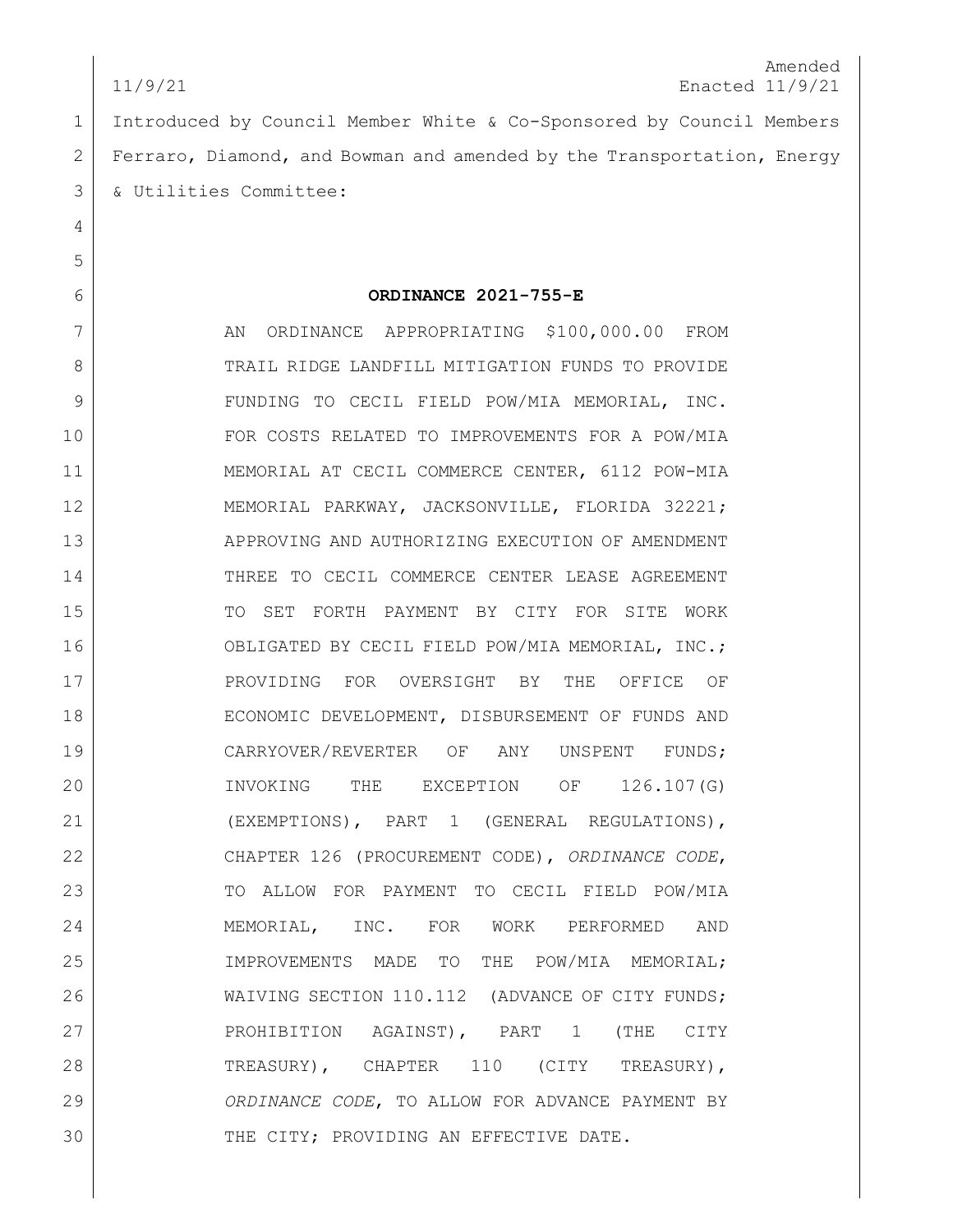Introduced by Council Member White & Co-Sponsored by Council Members Ferraro, Diamond, and Bowman and amended by the Transportation, Energy & Utilities Committee:

## **ORDINANCE 2021-755-E**

7 AN ORDINANCE APPROPRIATING \$100,000.00 FROM 8 TRAIL RIDGE LANDFILL MITIGATION FUNDS TO PROVIDE FUNDING TO CECIL FIELD POW/MIA MEMORIAL, INC. FOR COSTS RELATED TO IMPROVEMENTS FOR A POW/MIA MEMORIAL AT CECIL COMMERCE CENTER, 6112 POW-MIA MEMORIAL PARKWAY, JACKSONVILLE, FLORIDA 32221; 13 APPROVING AND AUTHORIZING EXECUTION OF AMENDMENT 14 THREE TO CECIL COMMERCE CENTER LEASE AGREEMENT TO SET FORTH PAYMENT BY CITY FOR SITE WORK OBLIGATED BY CECIL FIELD POW/MIA MEMORIAL, INC.; PROVIDING FOR OVERSIGHT BY THE OFFICE OF 18 | ECONOMIC DEVELOPMENT, DISBURSEMENT OF FUNDS AND 19 CARRYOVER/REVERTER OF ANY UNSPENT FUNDS; INVOKING THE EXCEPTION OF 126.107(G) (EXEMPTIONS), PART 1 (GENERAL REGULATIONS), CHAPTER 126 (PROCUREMENT CODE), *ORDINANCE CODE*, 23 TO ALLOW FOR PAYMENT TO CECIL FIELD POW/MIA MEMORIAL, INC. FOR WORK PERFORMED AND IMPROVEMENTS MADE TO THE POW/MIA MEMORIAL; 26 WAIVING SECTION 110.112 (ADVANCE OF CITY FUNDS; PROHIBITION AGAINST), PART 1 (THE CITY TREASURY), CHAPTER 110 (CITY TREASURY), *ORDINANCE CODE*, TO ALLOW FOR ADVANCE PAYMENT BY 30 THE CITY; PROVIDING AN EFFECTIVE DATE.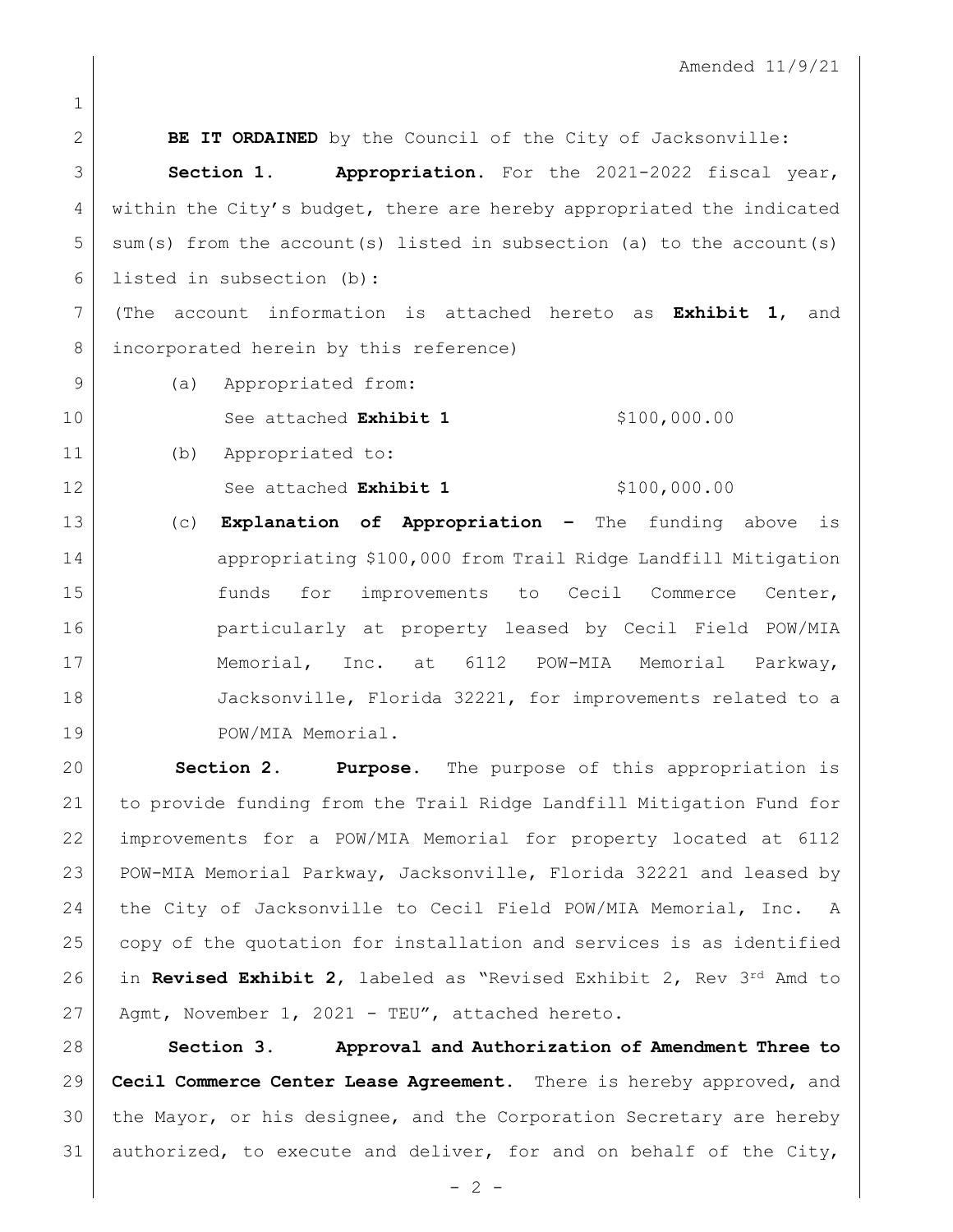**BE IT ORDAINED** by the Council of the City of Jacksonville: **Section 1. Appropriation.** For the 2021-2022 fiscal year, 4 within the City's budget, there are hereby appropriated the indicated  $5 \mid$  sum(s) from the account(s) listed in subsection (a) to the account(s) listed in subsection (b): (The account information is attached hereto as **Exhibit 1**, and incorporated herein by this reference) 9 (a) Appropriated from: See attached **Exhibit 1** \$100,000.00 (b) Appropriated to: See attached **Exhibit 1** \$100,000.00 (c) **Explanation of Appropriation –** The funding above is appropriating \$100,000 from Trail Ridge Landfill Mitigation 15 15 funds for improvements to Cecil Commerce Center, particularly at property leased by Cecil Field POW/MIA 17 | Memorial, Inc. at 6112 POW-MIA Memorial Parkway, 18 Jacksonville, Florida 32221, for improvements related to a 19 POW/MIA Memorial.

 **Section 2**. **Purpose.** The purpose of this appropriation is to provide funding from the Trail Ridge Landfill Mitigation Fund for improvements for a POW/MIA Memorial for property located at 6112 23 POW-MIA Memorial Parkway, Jacksonville, Florida 32221 and leased by the City of Jacksonville to Cecil Field POW/MIA Memorial, Inc. A 25 | copy of the quotation for installation and services is as identified in **Revised Exhibit 2**, labeled as "Revised Exhibit 2, Rev 3rd Amd to Agmt, November 1, 2021 - TEU", attached hereto.

 **Section 3. Approval and Authorization of Amendment Three to Cecil Commerce Center Lease Agreement.** There is hereby approved, and the Mayor, or his designee, and the Corporation Secretary are hereby 31 authorized, to execute and deliver, for and on behalf of the City,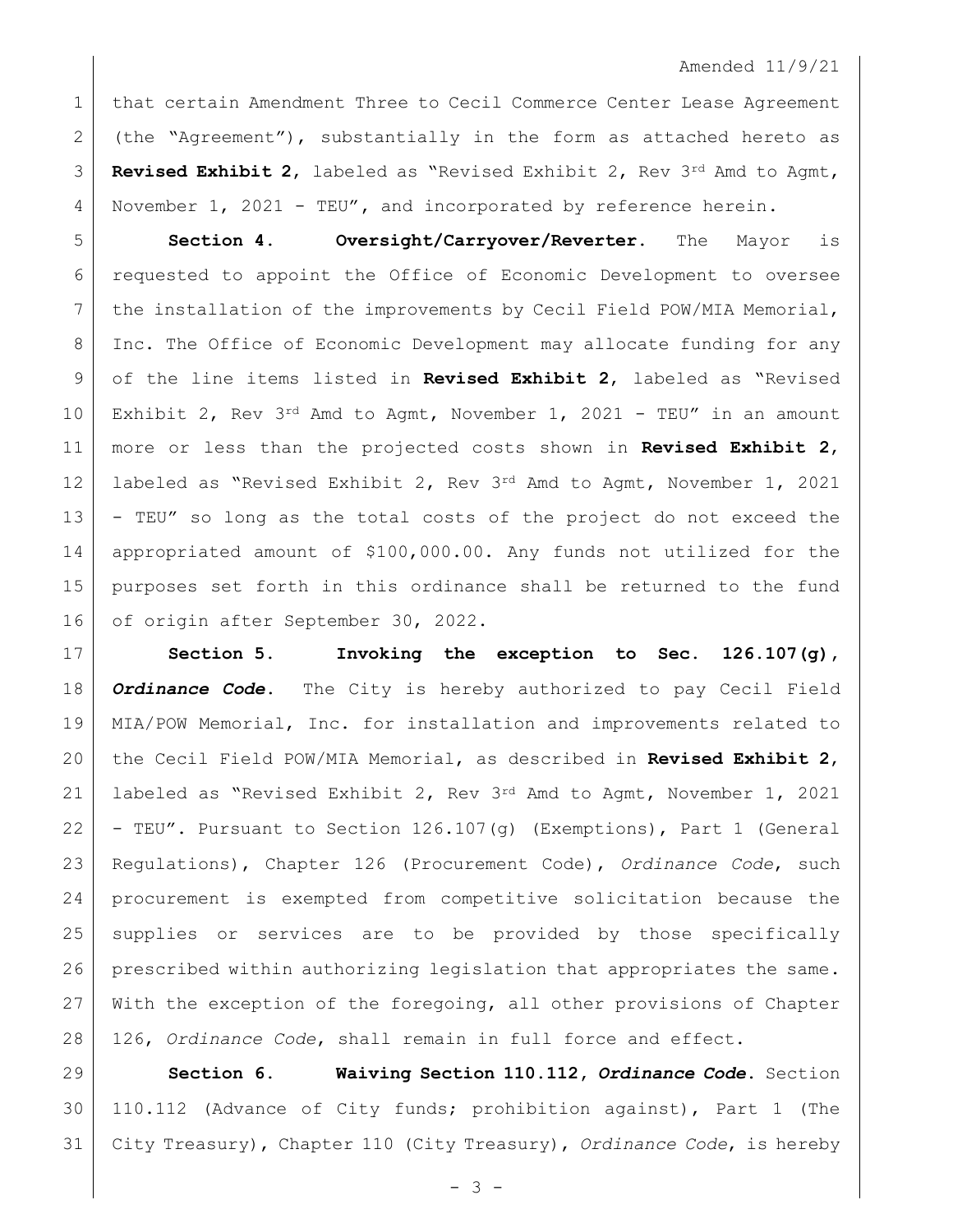1 | that certain Amendment Three to Cecil Commerce Center Lease Agreement 2 (the "Agreement"), substantially in the form as attached hereto as **Revised Exhibit 2**, labeled as "Revised Exhibit 2, Rev 3rd Amd to Agmt, November 1, 2021 - TEU"**,** and incorporated by reference herein.

 **Section 4. Oversight/Carryover/Reverter.** The Mayor is requested to appoint the Office of Economic Development to oversee 7 the installation of the improvements by Cecil Field POW/MIA Memorial, Inc. The Office of Economic Development may allocate funding for any of the line items listed in **Revised Exhibit 2**, labeled as "Revised 10 Exhibit 2, Rev 3rd Amd to Agmt, November 1, 2021 - TEU" in an amount more or less than the projected costs shown in **Revised Exhibit 2**, 12 | labeled as "Revised Exhibit 2, Rev 3<sup>rd</sup> Amd to Agmt, November 1, 2021 - TEU" so long as the total costs of the project do not exceed the appropriated amount of \$100,000.00. Any funds not utilized for the purposes set forth in this ordinance shall be returned to the fund 16 of origin after September 30, 2022.

 **Section 5. Invoking the exception to Sec. 126.107(g),**  *Ordinance Code***.** The City is hereby authorized to pay Cecil Field MIA/POW Memorial, Inc. for installation and improvements related to the Cecil Field POW/MIA Memorial, as described in **Revised Exhibit 2**, labeled as "Revised Exhibit 2, Rev 3rd Amd to Agmt, November 1, 2021 - TEU"**.** Pursuant to Section 126.107(g) (Exemptions), Part 1 (General Regulations), Chapter 126 (Procurement Code), *Ordinance Code*, such procurement is exempted from competitive solicitation because the supplies or services are to be provided by those specifically prescribed within authorizing legislation that appropriates the same. With the exception of the foregoing, all other provisions of Chapter 126, *Ordinance Code*, shall remain in full force and effect.

 **Section 6. Waiving Section 110.112,** *Ordinance Code***.** Section 110.112 (Advance of City funds; prohibition against), Part 1 (The City Treasury), Chapter 110 (City Treasury), *Ordinance Code*, is hereby

- 3 -